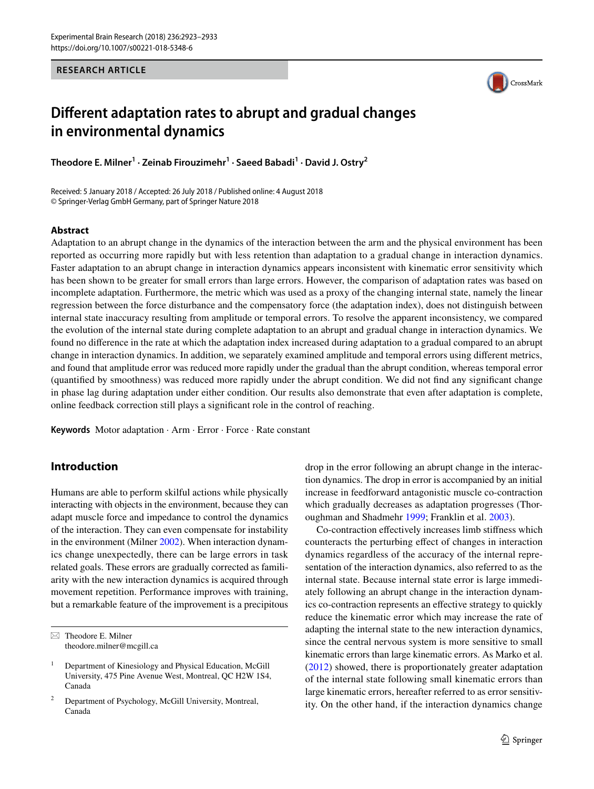## **RESEARCH ARTICLE**



# **Different adaptation rates to abrupt and gradual changes in environmental dynamics**

**Theodore E. Milner1 · Zeinab Firouzimehr1 · Saeed Babadi1 · David J. Ostry2**

Received: 5 January 2018 / Accepted: 26 July 2018 / Published online: 4 August 2018 © Springer-Verlag GmbH Germany, part of Springer Nature 2018

#### **Abstract**

Adaptation to an abrupt change in the dynamics of the interaction between the arm and the physical environment has been reported as occurring more rapidly but with less retention than adaptation to a gradual change in interaction dynamics. Faster adaptation to an abrupt change in interaction dynamics appears inconsistent with kinematic error sensitivity which has been shown to be greater for small errors than large errors. However, the comparison of adaptation rates was based on incomplete adaptation. Furthermore, the metric which was used as a proxy of the changing internal state, namely the linear regression between the force disturbance and the compensatory force (the adaptation index), does not distinguish between internal state inaccuracy resulting from amplitude or temporal errors. To resolve the apparent inconsistency, we compared the evolution of the internal state during complete adaptation to an abrupt and gradual change in interaction dynamics. We found no difference in the rate at which the adaptation index increased during adaptation to a gradual compared to an abrupt change in interaction dynamics. In addition, we separately examined amplitude and temporal errors using different metrics, and found that amplitude error was reduced more rapidly under the gradual than the abrupt condition, whereas temporal error (quantified by smoothness) was reduced more rapidly under the abrupt condition. We did not find any significant change in phase lag during adaptation under either condition. Our results also demonstrate that even after adaptation is complete, online feedback correction still plays a significant role in the control of reaching.

**Keywords** Motor adaptation · Arm · Error · Force · Rate constant

# **Introduction**

Humans are able to perform skilful actions while physically interacting with objects in the environment, because they can adapt muscle force and impedance to control the dynamics of the interaction. They can even compensate for instability in the environment (Milner [2002\)](#page-10-0). When interaction dynamics change unexpectedly, there can be large errors in task related goals. These errors are gradually corrected as familiarity with the new interaction dynamics is acquired through movement repetition. Performance improves with training, but a remarkable feature of the improvement is a precipitous

<sup>2</sup> Department of Psychology, McGill University, Montreal, Canada

drop in the error following an abrupt change in the interaction dynamics. The drop in error is accompanied by an initial increase in feedforward antagonistic muscle co-contraction which gradually decreases as adaptation progresses (Thoroughman and Shadmehr [1999;](#page-10-1) Franklin et al. [2003\)](#page-10-2).

Co-contraction effectively increases limb stiffness which counteracts the perturbing effect of changes in interaction dynamics regardless of the accuracy of the internal representation of the interaction dynamics, also referred to as the internal state. Because internal state error is large immediately following an abrupt change in the interaction dynamics co-contraction represents an effective strategy to quickly reduce the kinematic error which may increase the rate of adapting the internal state to the new interaction dynamics, since the central nervous system is more sensitive to small kinematic errors than large kinematic errors. As Marko et al. ([2012\)](#page-10-3) showed, there is proportionately greater adaptation of the internal state following small kinematic errors than large kinematic errors, hereafter referred to as error sensitivity. On the other hand, if the interaction dynamics change

 $\boxtimes$  Theodore E. Milner theodore.milner@mcgill.ca

<sup>&</sup>lt;sup>1</sup> Department of Kinesiology and Physical Education, McGill University, 475 Pine Avenue West, Montreal, QC H2W 1S4, Canada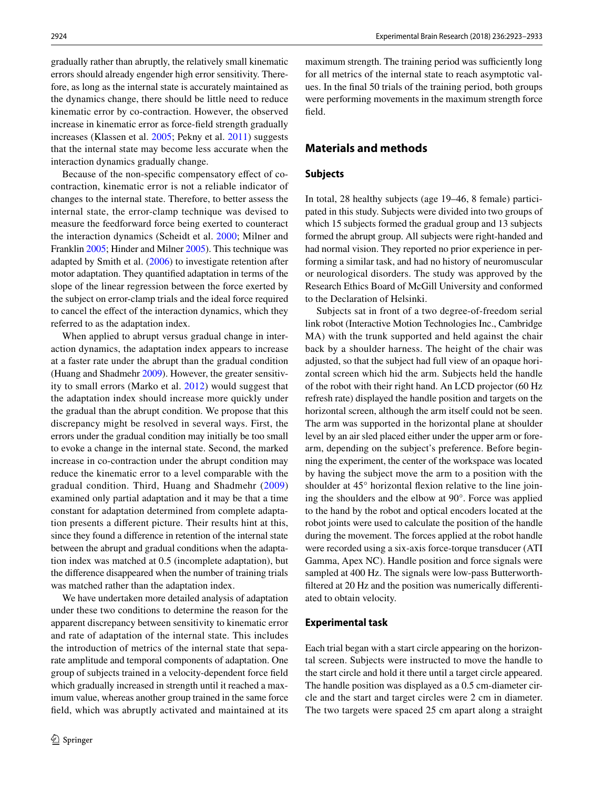gradually rather than abruptly, the relatively small kinematic errors should already engender high error sensitivity. Therefore, as long as the internal state is accurately maintained as the dynamics change, there should be little need to reduce kinematic error by co-contraction. However, the observed increase in kinematic error as force-field strength gradually increases (Klassen et al. [2005](#page-10-4); Pekny et al. [2011\)](#page-10-5) suggests that the internal state may become less accurate when the interaction dynamics gradually change.

Because of the non-specific compensatory effect of cocontraction, kinematic error is not a reliable indicator of changes to the internal state. Therefore, to better assess the internal state, the error-clamp technique was devised to measure the feedforward force being exerted to counteract the interaction dynamics (Scheidt et al. [2000;](#page-10-6) Milner and Franklin [2005](#page-10-7); Hinder and Milner [2005](#page-10-8)). This technique was adapted by Smith et al. ([2006](#page-10-9)) to investigate retention after motor adaptation. They quantified adaptation in terms of the slope of the linear regression between the force exerted by the subject on error-clamp trials and the ideal force required to cancel the effect of the interaction dynamics, which they referred to as the adaptation index.

When applied to abrupt versus gradual change in interaction dynamics, the adaptation index appears to increase at a faster rate under the abrupt than the gradual condition (Huang and Shadmehr [2009\)](#page-10-10). However, the greater sensitivity to small errors (Marko et al. [2012](#page-10-3)) would suggest that the adaptation index should increase more quickly under the gradual than the abrupt condition. We propose that this discrepancy might be resolved in several ways. First, the errors under the gradual condition may initially be too small to evoke a change in the internal state. Second, the marked increase in co-contraction under the abrupt condition may reduce the kinematic error to a level comparable with the gradual condition. Third, Huang and Shadmehr ([2009\)](#page-10-10) examined only partial adaptation and it may be that a time constant for adaptation determined from complete adaptation presents a different picture. Their results hint at this, since they found a difference in retention of the internal state between the abrupt and gradual conditions when the adaptation index was matched at 0.5 (incomplete adaptation), but the difference disappeared when the number of training trials was matched rather than the adaptation index.

We have undertaken more detailed analysis of adaptation under these two conditions to determine the reason for the apparent discrepancy between sensitivity to kinematic error and rate of adaptation of the internal state. This includes the introduction of metrics of the internal state that separate amplitude and temporal components of adaptation. One group of subjects trained in a velocity-dependent force field which gradually increased in strength until it reached a maximum value, whereas another group trained in the same force field, which was abruptly activated and maintained at its maximum strength. The training period was sufficiently long for all metrics of the internal state to reach asymptotic values. In the final 50 trials of the training period, both groups were performing movements in the maximum strength force field.

# **Materials and methods**

# **Subjects**

In total, 28 healthy subjects (age 19–46, 8 female) participated in this study. Subjects were divided into two groups of which 15 subjects formed the gradual group and 13 subjects formed the abrupt group. All subjects were right-handed and had normal vision. They reported no prior experience in performing a similar task, and had no history of neuromuscular or neurological disorders. The study was approved by the Research Ethics Board of McGill University and conformed to the Declaration of Helsinki.

Subjects sat in front of a two degree-of-freedom serial link robot (Interactive Motion Technologies Inc., Cambridge MA) with the trunk supported and held against the chair back by a shoulder harness. The height of the chair was adjusted, so that the subject had full view of an opaque horizontal screen which hid the arm. Subjects held the handle of the robot with their right hand. An LCD projector (60 Hz refresh rate) displayed the handle position and targets on the horizontal screen, although the arm itself could not be seen. The arm was supported in the horizontal plane at shoulder level by an air sled placed either under the upper arm or forearm, depending on the subject's preference. Before beginning the experiment, the center of the workspace was located by having the subject move the arm to a position with the shoulder at 45° horizontal flexion relative to the line joining the shoulders and the elbow at 90°. Force was applied to the hand by the robot and optical encoders located at the robot joints were used to calculate the position of the handle during the movement. The forces applied at the robot handle were recorded using a six-axis force-torque transducer (ATI Gamma, Apex NC). Handle position and force signals were sampled at 400 Hz. The signals were low-pass Butterworthfiltered at 20 Hz and the position was numerically differentiated to obtain velocity.

## **Experimental task**

Each trial began with a start circle appearing on the horizontal screen. Subjects were instructed to move the handle to the start circle and hold it there until a target circle appeared. The handle position was displayed as a 0.5 cm-diameter circle and the start and target circles were 2 cm in diameter. The two targets were spaced 25 cm apart along a straight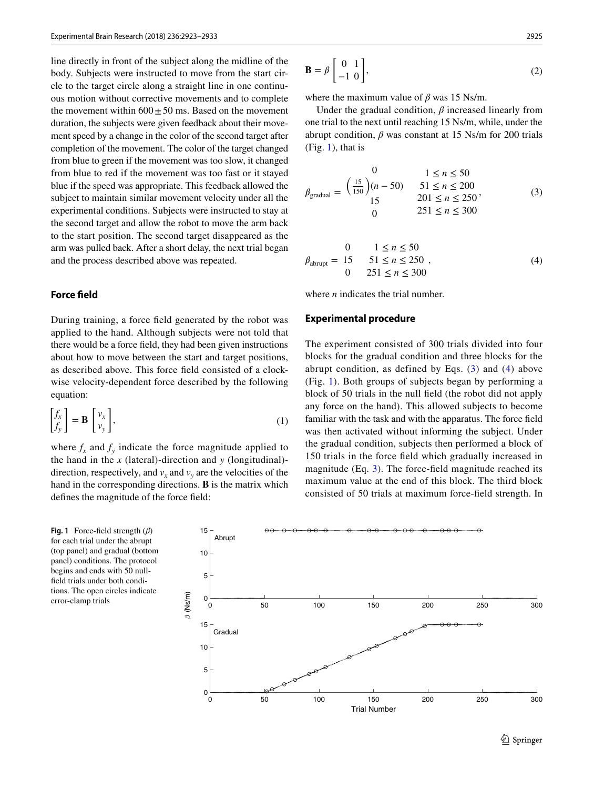line directly in front of the subject along the midline of the body. Subjects were instructed to move from the start circle to the target circle along a straight line in one continuous motion without corrective movements and to complete the movement within  $600 \pm 50$  ms. Based on the movement duration, the subjects were given feedback about their movement speed by a change in the color of the second target after completion of the movement. The color of the target changed from blue to green if the movement was too slow, it changed from blue to red if the movement was too fast or it stayed blue if the speed was appropriate. This feedback allowed the subject to maintain similar movement velocity under all the experimental conditions. Subjects were instructed to stay at the second target and allow the robot to move the arm back to the start position. The second target disappeared as the arm was pulled back. After a short delay, the next trial began and the process described above was repeated.

# **Force field**

During training, a force field generated by the robot was applied to the hand. Although subjects were not told that there would be a force field, they had been given instructions about how to move between the start and target positions, as described above. This force field consisted of a clockwise velocity-dependent force described by the following equation:

$$
\begin{bmatrix} f_x \\ f_y \end{bmatrix} = \mathbf{B} \begin{bmatrix} v_x \\ v_y \end{bmatrix},\tag{1}
$$

where  $f_x$  and  $f_y$  indicate the force magnitude applied to the hand in the *x* (lateral)*-*direction and *y* (longitudinal) direction, respectively, and  $v_x$  and  $v_y$  are the velocities of the hand in the corresponding directions. **B** is the matrix which defines the magnitude of the force field:



where the maximum value of  $\beta$  was 15 Ns/m.

Under the gradual condition, *β* increased linearly from one trial to the next until reaching 15 Ns/m, while, under the abrupt condition,  $\beta$  was constant at 15 Ns/m for 200 trials (Fig. [1\)](#page-2-0), that is

<span id="page-2-1"></span>
$$
\beta_{\text{gradual}} = \begin{pmatrix} 0 & 1 \le n \le 50 \\ \frac{15}{150} & (n-50) & 51 \le n \le 200 \\ 15 & 201 \le n \le 250 \\ 0 & 251 \le n \le 300 \end{pmatrix} \tag{3}
$$

<span id="page-2-2"></span>
$$
\beta_{\text{abrupt}} = \begin{array}{cc} 0 & 1 \le n \le 50 \\ 15 & 51 \le n \le 250 \\ 0 & 251 \le n \le 300 \end{array}, \tag{4}
$$

where *n* indicates the trial number.

## **Experimental procedure**

The experiment consisted of 300 trials divided into four blocks for the gradual condition and three blocks for the abrupt condition, as defined by Eqs. ([3](#page-2-1)) and ([4](#page-2-2)) above (Fig. [1\)](#page-2-0). Both groups of subjects began by performing a block of 50 trials in the null field (the robot did not apply any force on the hand). This allowed subjects to become familiar with the task and with the apparatus. The force field was then activated without informing the subject. Under the gradual condition, subjects then performed a block of 150 trials in the force field which gradually increased in magnitude (Eq. [3\)](#page-2-1). The force-field magnitude reached its maximum value at the end of this block. The third block consisted of 50 trials at maximum force-field strength. In



<span id="page-2-0"></span>**Fig. 1** Force-field strength (*β*) for each trial under the abrupt (top panel) and gradual (bottom panel) conditions. The protocol begins and ends with 50 nullfield trials under both conditions. The open circles indicate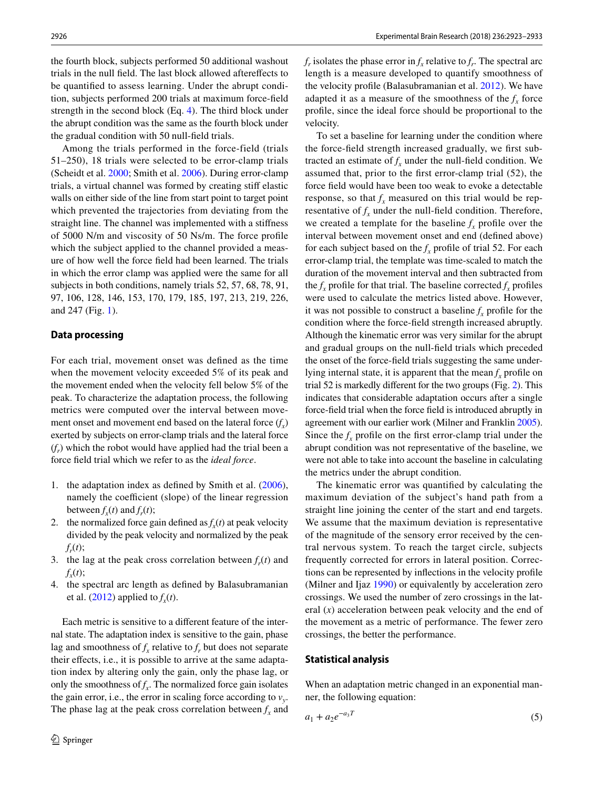the fourth block, subjects performed 50 additional washout trials in the null field. The last block allowed aftereffects to be quantified to assess learning. Under the abrupt condition, subjects performed 200 trials at maximum force-field strength in the second block (Eq. [4](#page-2-2)). The third block under the abrupt condition was the same as the fourth block under the gradual condition with 50 null-field trials.

Among the trials performed in the force-field (trials 51–250), 18 trials were selected to be error-clamp trials (Scheidt et al. [2000;](#page-10-6) Smith et al. [2006](#page-10-9)). During error-clamp trials, a virtual channel was formed by creating stiff elastic walls on either side of the line from start point to target point which prevented the trajectories from deviating from the straight line. The channel was implemented with a stiffness of 5000 N/m and viscosity of 50 Ns/m. The force profile which the subject applied to the channel provided a measure of how well the force field had been learned. The trials in which the error clamp was applied were the same for all subjects in both conditions, namely trials 52, 57, 68, 78, 91, 97, 106, 128, 146, 153, 170, 179, 185, 197, 213, 219, 226, and 247 (Fig. [1](#page-2-0)).

## **Data processing**

For each trial, movement onset was defined as the time when the movement velocity exceeded 5% of its peak and the movement ended when the velocity fell below 5% of the peak. To characterize the adaptation process, the following metrics were computed over the interval between movement onset and movement end based on the lateral force  $(f<sub>x</sub>)$ exerted by subjects on error-clamp trials and the lateral force  $(f_r)$  which the robot would have applied had the trial been a force field trial which we refer to as the *ideal force*.

- 1. the adaptation index as defined by Smith et al. ([2006](#page-10-9)), namely the coefficient (slope) of the linear regression between  $f_x(t)$  and  $f_y(t)$ ;
- 2. the normalized force gain defined as  $f<sub>x</sub>(t)$  at peak velocity divided by the peak velocity and normalized by the peak  $f_r(t)$ ;
- 3. the lag at the peak cross correlation between  $f_r(t)$  and  $f(x(t))$ ;
- 4. the spectral arc length as defined by Balasubramanian et al. [\(2012\)](#page-10-11) applied to  $f_x(t)$ .

Each metric is sensitive to a different feature of the internal state. The adaptation index is sensitive to the gain, phase lag and smoothness of  $f_x$  relative to  $f_r$  but does not separate their effects, i.e., it is possible to arrive at the same adaptation index by altering only the gain, only the phase lag, or only the smoothness of  $f_x$ . The normalized force gain isolates the gain error, i.e., the error in scaling force according to  $v_y$ . The phase lag at the peak cross correlation between  $f<sub>x</sub>$  and  $f_r$  isolates the phase error in  $f_r$  relative to  $f_r$ . The spectral arc length is a measure developed to quantify smoothness of the velocity profile (Balasubramanian et al. [2012\)](#page-10-11). We have adapted it as a measure of the smoothness of the  $f<sub>x</sub>$  force profile, since the ideal force should be proportional to the velocity.

To set a baseline for learning under the condition where the force-field strength increased gradually, we first subtracted an estimate of  $f<sub>x</sub>$  under the null-field condition. We assumed that, prior to the first error-clamp trial (52), the force field would have been too weak to evoke a detectable response, so that  $f<sub>x</sub>$  measured on this trial would be representative of  $f<sub>x</sub>$  under the null-field condition. Therefore, we created a template for the baseline  $f<sub>x</sub>$  profile over the interval between movement onset and end (defined above) for each subject based on the  $f<sub>x</sub>$  profile of trial 52. For each error-clamp trial, the template was time-scaled to match the duration of the movement interval and then subtracted from the  $f<sub>x</sub>$  profile for that trial. The baseline corrected  $f<sub>x</sub>$  profiles were used to calculate the metrics listed above. However, it was not possible to construct a baseline  $f<sub>x</sub>$  profile for the condition where the force-field strength increased abruptly. Although the kinematic error was very similar for the abrupt and gradual groups on the null-field trials which preceded the onset of the force-field trials suggesting the same underlying internal state, it is apparent that the mean  $f<sub>x</sub>$  profile on trial 52 is markedly different for the two groups (Fig. [2\)](#page-4-0). This indicates that considerable adaptation occurs after a single force-field trial when the force field is introduced abruptly in agreement with our earlier work (Milner and Franklin [2005](#page-10-7)). Since the  $f<sub>x</sub>$  profile on the first error-clamp trial under the abrupt condition was not representative of the baseline, we were not able to take into account the baseline in calculating the metrics under the abrupt condition.

The kinematic error was quantified by calculating the maximum deviation of the subject's hand path from a straight line joining the center of the start and end targets. We assume that the maximum deviation is representative of the magnitude of the sensory error received by the central nervous system. To reach the target circle, subjects frequently corrected for errors in lateral position. Corrections can be represented by inflections in the velocity profile (Milner and Ijaz [1990](#page-10-12)) or equivalently by acceleration zero crossings. We used the number of zero crossings in the lateral (*x*) acceleration between peak velocity and the end of the movement as a metric of performance. The fewer zero crossings, the better the performance.

## **Statistical analysis**

When an adaptation metric changed in an exponential manner, the following equation:

<span id="page-3-0"></span>
$$
a_1 + a_2 e^{-a_3 T} \tag{5}
$$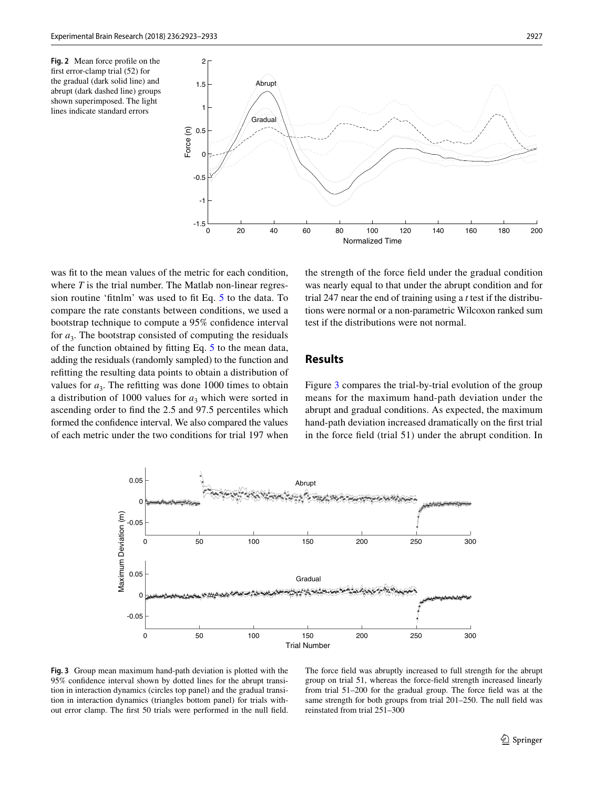<span id="page-4-0"></span>**Fig. 2** Mean force profile on the first error-clamp trial (52) for the gradual (dark solid line) and abrupt (dark dashed line) groups shown superimposed. The light lines indicate standard errors



was fit to the mean values of the metric for each condition, where *T* is the trial number. The Matlab non-linear regression routine 'fitnlm' was used to fit Eq. [5](#page-3-0) to the data. To compare the rate constants between conditions, we used a bootstrap technique to compute a 95% confidence interval for  $a_3$ . The bootstrap consisted of computing the residuals of the function obtained by fitting Eq. [5](#page-3-0) to the mean data, adding the residuals (randomly sampled) to the function and refitting the resulting data points to obtain a distribution of values for  $a_3$ . The refitting was done 1000 times to obtain a distribution of 1000 values for  $a_3$  which were sorted in ascending order to find the 2.5 and 97.5 percentiles which formed the confidence interval. We also compared the values of each metric under the two conditions for trial 197 when the strength of the force field under the gradual condition was nearly equal to that under the abrupt condition and for trial 247 near the end of training using a *t* test if the distributions were normal or a non-parametric Wilcoxon ranked sum test if the distributions were not normal.

# **Results**

Figure [3](#page-4-1) compares the trial-by-trial evolution of the group means for the maximum hand-path deviation under the abrupt and gradual conditions. As expected, the maximum hand-path deviation increased dramatically on the first trial in the force field (trial 51) under the abrupt condition. In



<span id="page-4-1"></span>**Fig. 3** Group mean maximum hand-path deviation is plotted with the 95% confidence interval shown by dotted lines for the abrupt transition in interaction dynamics (circles top panel) and the gradual transition in interaction dynamics (triangles bottom panel) for trials without error clamp. The first 50 trials were performed in the null field.

The force field was abruptly increased to full strength for the abrupt group on trial 51, whereas the force-field strength increased linearly from trial 51–200 for the gradual group. The force field was at the same strength for both groups from trial 201–250. The null field was reinstated from trial 251–300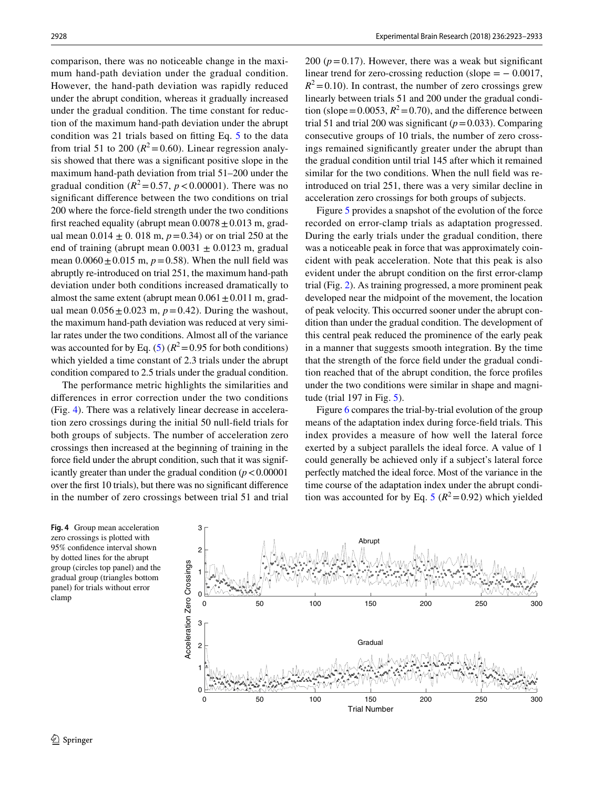comparison, there was no noticeable change in the maximum hand-path deviation under the gradual condition. However, the hand-path deviation was rapidly reduced under the abrupt condition, whereas it gradually increased under the gradual condition. The time constant for reduction of the maximum hand-path deviation under the abrupt condition was 21 trials based on fitting Eq. [5](#page-3-0) to the data from trial 51 to 200 ( $R^2$ =0.60). Linear regression analysis showed that there was a significant positive slope in the maximum hand-path deviation from trial 51–200 under the gradual condition ( $R^2$ =0.57, *p* <0.00001). There was no significant difference between the two conditions on trial 200 where the force-field strength under the two conditions first reached equality (abrupt mean  $0.0078 \pm 0.013$  m, gradual mean  $0.014 \pm 0.018$  m,  $p = 0.34$ ) or on trial 250 at the end of training (abrupt mean  $0.0031 \pm 0.0123$  m, gradual mean  $0.0060 \pm 0.015$  m,  $p = 0.58$ ). When the null field was abruptly re-introduced on trial 251, the maximum hand-path deviation under both conditions increased dramatically to almost the same extent (abrupt mean  $0.061 \pm 0.011$  m, gradual mean  $0.056 \pm 0.023$  m,  $p = 0.42$ ). During the washout, the maximum hand-path deviation was reduced at very similar rates under the two conditions. Almost all of the variance was accounted for by Eq. ([5\)](#page-3-0)  $(R^2 = 0.95$  for both conditions) which yielded a time constant of 2.3 trials under the abrupt condition compared to 2.5 trials under the gradual condition.

The performance metric highlights the similarities and differences in error correction under the two conditions (Fig. [4](#page-5-0)). There was a relatively linear decrease in acceleration zero crossings during the initial 50 null-field trials for both groups of subjects. The number of acceleration zero crossings then increased at the beginning of training in the force field under the abrupt condition, such that it was significantly greater than under the gradual condition  $(p < 0.00001)$ over the first 10 trials), but there was no significant difference in the number of zero crossings between trial 51 and trial



<span id="page-5-0"></span>zero crossings is plotted with 95% confidence interval shown by dotted lines for the abrupt group (circles top panel) and the gradual group (triangles bottom panel) for trials without error

200 ( $p = 0.17$ ). However, there was a weak but significant linear trend for zero-crossing reduction (slope  $=$   $-$  0.0017,  $R^2$  = 0.10). In contrast, the number of zero crossings grew linearly between trials 51 and 200 under the gradual condition (slope=0.0053,  $R^2$ =0.70), and the difference between trial 51 and trial 200 was significant ( $p = 0.033$ ). Comparing consecutive groups of 10 trials, the number of zero crossings remained significantly greater under the abrupt than the gradual condition until trial 145 after which it remained similar for the two conditions. When the null field was reintroduced on trial 251, there was a very similar decline in acceleration zero crossings for both groups of subjects.

Figure [5](#page-6-0) provides a snapshot of the evolution of the force recorded on error-clamp trials as adaptation progressed. During the early trials under the gradual condition, there was a noticeable peak in force that was approximately coincident with peak acceleration. Note that this peak is also evident under the abrupt condition on the first error-clamp trial (Fig. [2\)](#page-4-0). As training progressed, a more prominent peak developed near the midpoint of the movement, the location of peak velocity. This occurred sooner under the abrupt condition than under the gradual condition. The development of this central peak reduced the prominence of the early peak in a manner that suggests smooth integration. By the time that the strength of the force field under the gradual condition reached that of the abrupt condition, the force profiles under the two conditions were similar in shape and magnitude (trial 197 in Fig.  $5$ ).

Figure [6](#page-6-1) compares the trial-by-trial evolution of the group means of the adaptation index during force-field trials. This index provides a measure of how well the lateral force exerted by a subject parallels the ideal force. A value of 1 could generally be achieved only if a subject's lateral force perfectly matched the ideal force. Most of the variance in the time course of the adaptation index under the abrupt condition was accounted for by Eq.  $5 (R^2 = 0.92)$  $5 (R^2 = 0.92)$  which yielded

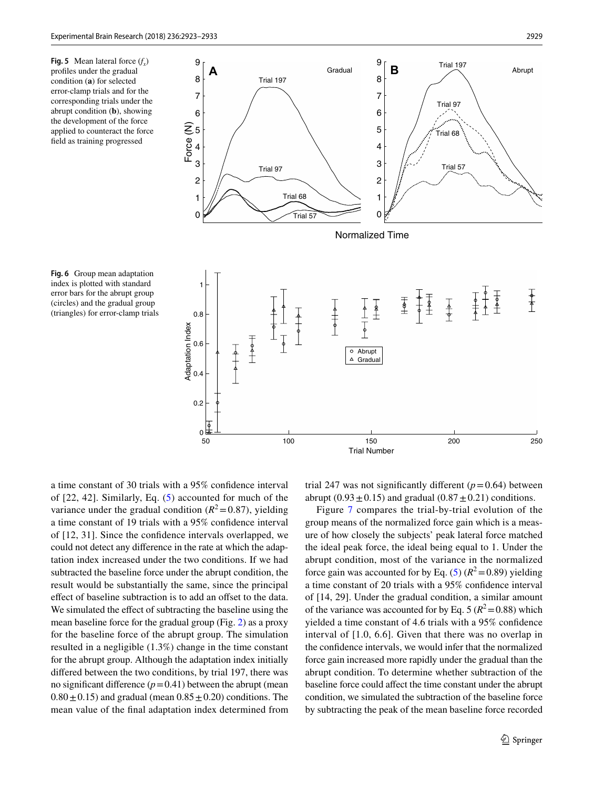<span id="page-6-0"></span>

<span id="page-6-1"></span>**Fig. 6** Group mean adaptation index is plotted with standard error bars for the abrupt group (circles) and the gradual group (triangles) for error-clamp trials

a time constant of 30 trials with a 95% confidence interval of [22, 42]. Similarly, Eq. ([5\)](#page-3-0) accounted for much of the variance under the gradual condition  $(R^2=0.87)$ , yielding a time constant of 19 trials with a 95% confidence interval of [12, 31]. Since the confidence intervals overlapped, we could not detect any difference in the rate at which the adaptation index increased under the two conditions. If we had subtracted the baseline force under the abrupt condition, the result would be substantially the same, since the principal effect of baseline subtraction is to add an offset to the data. We simulated the effect of subtracting the baseline using the mean baseline force for the gradual group (Fig. [2\)](#page-4-0) as a proxy for the baseline force of the abrupt group. The simulation resulted in a negligible (1.3%) change in the time constant for the abrupt group. Although the adaptation index initially differed between the two conditions, by trial 197, there was no significant difference  $(p=0.41)$  between the abrupt (mean  $0.80 \pm 0.15$ ) and gradual (mean  $0.85 \pm 0.20$ ) conditions. The mean value of the final adaptation index determined from trial 247 was not significantly different  $(p=0.64)$  between abrupt (0.93 $\pm$ 0.15) and gradual (0.87 $\pm$ 0.21) conditions.

Figure [7](#page-7-0) compares the trial-by-trial evolution of the group means of the normalized force gain which is a measure of how closely the subjects' peak lateral force matched the ideal peak force, the ideal being equal to 1. Under the abrupt condition, most of the variance in the normalized force gain was accounted for by Eq. ([5\)](#page-3-0)  $(R^2 = 0.89)$  yielding a time constant of 20 trials with a 95% confidence interval of [14, 29]. Under the gradual condition, a similar amount of the variance was accounted for by Eq.  $5 (R^2 = 0.88)$  which yielded a time constant of 4.6 trials with a 95% confidence interval of [1.0, 6.6]. Given that there was no overlap in the confidence intervals, we would infer that the normalized force gain increased more rapidly under the gradual than the abrupt condition. To determine whether subtraction of the baseline force could affect the time constant under the abrupt condition, we simulated the subtraction of the baseline force by subtracting the peak of the mean baseline force recorded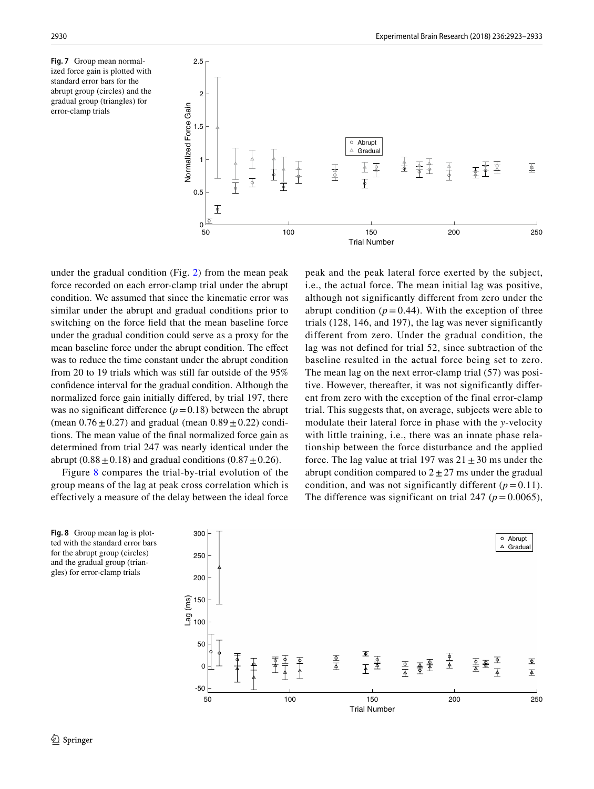<span id="page-7-0"></span>**Fig. 7** Group mean normalized force gain is plotted with standard error bars for the abrupt group (circles) and the gradual group (triangles) for error-clamp trials



under the gradual condition (Fig. [2\)](#page-4-0) from the mean peak force recorded on each error-clamp trial under the abrupt condition. We assumed that since the kinematic error was similar under the abrupt and gradual conditions prior to switching on the force field that the mean baseline force under the gradual condition could serve as a proxy for the mean baseline force under the abrupt condition. The effect was to reduce the time constant under the abrupt condition from 20 to 19 trials which was still far outside of the 95% confidence interval for the gradual condition. Although the normalized force gain initially differed, by trial 197, there was no significant difference  $(p=0.18)$  between the abrupt (mean  $0.76 \pm 0.27$ ) and gradual (mean  $0.89 \pm 0.22$ ) conditions. The mean value of the final normalized force gain as determined from trial 247 was nearly identical under the abrupt  $(0.88 \pm 0.18)$  and gradual conditions  $(0.87 \pm 0.26)$ .

Figure [8](#page-7-1) compares the trial-by-trial evolution of the group means of the lag at peak cross correlation which is effectively a measure of the delay between the ideal force

peak and the peak lateral force exerted by the subject, i.e., the actual force. The mean initial lag was positive, although not significantly different from zero under the abrupt condition ( $p = 0.44$ ). With the exception of three trials (128, 146, and 197), the lag was never significantly different from zero. Under the gradual condition, the lag was not defined for trial 52, since subtraction of the baseline resulted in the actual force being set to zero. The mean lag on the next error-clamp trial (57) was positive. However, thereafter, it was not significantly different from zero with the exception of the final error-clamp trial. This suggests that, on average, subjects were able to modulate their lateral force in phase with the *y*-velocity with little training, i.e., there was an innate phase relationship between the force disturbance and the applied force. The lag value at trial 197 was  $21 \pm 30$  ms under the abrupt condition compared to  $2 \pm 27$  ms under the gradual condition, and was not significantly different  $(p=0.11)$ . The difference was significant on trial 247 ( $p = 0.0065$ ),

<span id="page-7-1"></span>

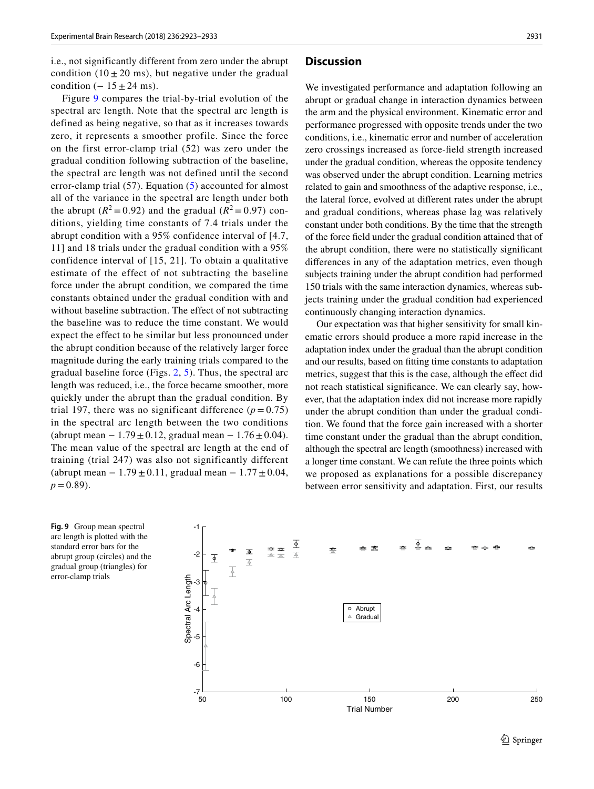i.e., not significantly different from zero under the abrupt condition  $(10 \pm 20 \text{ ms})$ , but negative under the gradual condition  $(-15 \pm 24 \text{ ms})$ .

Figure [9](#page-8-0) compares the trial-by-trial evolution of the spectral arc length. Note that the spectral arc length is defined as being negative, so that as it increases towards zero, it represents a smoother profile. Since the force on the first error-clamp trial (52) was zero under the gradual condition following subtraction of the baseline, the spectral arc length was not defined until the second error-clamp trial (57). Equation ([5](#page-3-0)) accounted for almost all of the variance in the spectral arc length under both the abrupt  $(R^2 = 0.92)$  and the gradual  $(R^2 = 0.97)$  conditions, yielding time constants of 7.4 trials under the abrupt condition with a 95% confidence interval of [4.7, 11] and 18 trials under the gradual condition with a 95% confidence interval of [15, 21]. To obtain a qualitative estimate of the effect of not subtracting the baseline force under the abrupt condition, we compared the time constants obtained under the gradual condition with and without baseline subtraction. The effect of not subtracting the baseline was to reduce the time constant. We would expect the effect to be similar but less pronounced under the abrupt condition because of the relatively larger force magnitude during the early training trials compared to the gradual baseline force (Figs. [2](#page-4-0), [5\)](#page-6-0). Thus, the spectral arc length was reduced, i.e., the force became smoother, more quickly under the abrupt than the gradual condition. By trial 197, there was no significant difference  $(p=0.75)$ in the spectral arc length between the two conditions (abrupt mean  $-1.79 \pm 0.12$ , gradual mean  $-1.76 \pm 0.04$ ). The mean value of the spectral arc length at the end of training (trial 247) was also not significantly different (abrupt mean  $-1.79 \pm 0.11$ , gradual mean  $-1.77 \pm 0.04$ ,  $p = 0.89$ ).

#### **Discussion**

We investigated performance and adaptation following an abrupt or gradual change in interaction dynamics between the arm and the physical environment. Kinematic error and performance progressed with opposite trends under the two conditions, i.e., kinematic error and number of acceleration zero crossings increased as force-field strength increased under the gradual condition, whereas the opposite tendency was observed under the abrupt condition. Learning metrics related to gain and smoothness of the adaptive response, i.e., the lateral force, evolved at different rates under the abrupt and gradual conditions, whereas phase lag was relatively constant under both conditions. By the time that the strength of the force field under the gradual condition attained that of the abrupt condition, there were no statistically significant differences in any of the adaptation metrics, even though subjects training under the abrupt condition had performed 150 trials with the same interaction dynamics, whereas subjects training under the gradual condition had experienced continuously changing interaction dynamics.

Our expectation was that higher sensitivity for small kinematic errors should produce a more rapid increase in the adaptation index under the gradual than the abrupt condition and our results, based on fitting time constants to adaptation metrics, suggest that this is the case, although the effect did not reach statistical significance. We can clearly say, however, that the adaptation index did not increase more rapidly under the abrupt condition than under the gradual condition. We found that the force gain increased with a shorter time constant under the gradual than the abrupt condition, although the spectral arc length (smoothness) increased with a longer time constant. We can refute the three points which we proposed as explanations for a possible discrepancy between error sensitivity and adaptation. First, our results

<span id="page-8-0"></span>**Fig. 9** Group mean spectral arc length is plotted with the standard error bars for the abrupt group (circles) and the gradual group (triangles) for error-clamp trials

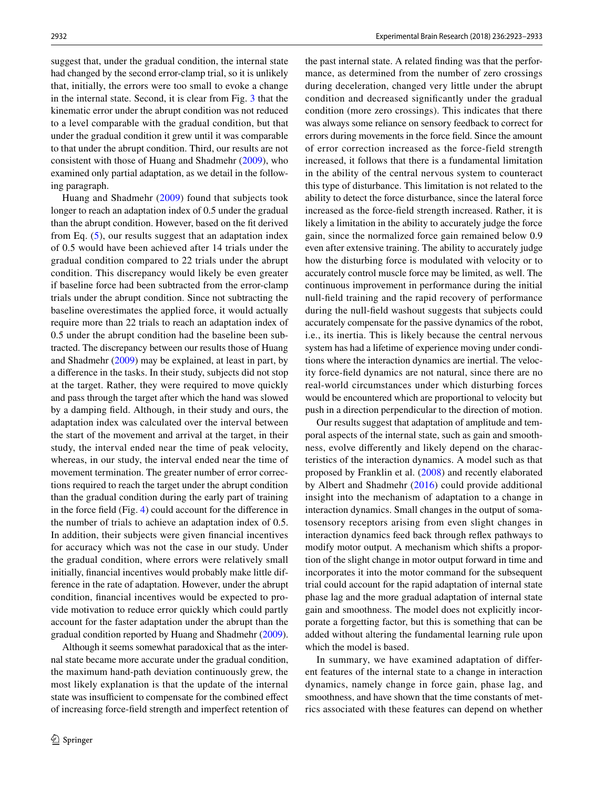suggest that, under the gradual condition, the internal state had changed by the second error-clamp trial, so it is unlikely that, initially, the errors were too small to evoke a change in the internal state. Second, it is clear from Fig. [3](#page-4-1) that the kinematic error under the abrupt condition was not reduced to a level comparable with the gradual condition, but that under the gradual condition it grew until it was comparable to that under the abrupt condition. Third, our results are not consistent with those of Huang and Shadmehr [\(2009](#page-10-10)), who examined only partial adaptation, as we detail in the following paragraph.

Huang and Shadmehr ([2009\)](#page-10-10) found that subjects took longer to reach an adaptation index of 0.5 under the gradual than the abrupt condition. However, based on the fit derived from Eq. [\(5\)](#page-3-0), our results suggest that an adaptation index of 0.5 would have been achieved after 14 trials under the gradual condition compared to 22 trials under the abrupt condition. This discrepancy would likely be even greater if baseline force had been subtracted from the error-clamp trials under the abrupt condition. Since not subtracting the baseline overestimates the applied force, it would actually require more than 22 trials to reach an adaptation index of 0.5 under the abrupt condition had the baseline been subtracted. The discrepancy between our results those of Huang and Shadmehr ([2009](#page-10-10)) may be explained, at least in part, by a difference in the tasks. In their study, subjects did not stop at the target. Rather, they were required to move quickly and pass through the target after which the hand was slowed by a damping field. Although, in their study and ours, the adaptation index was calculated over the interval between the start of the movement and arrival at the target, in their study, the interval ended near the time of peak velocity, whereas, in our study, the interval ended near the time of movement termination. The greater number of error corrections required to reach the target under the abrupt condition than the gradual condition during the early part of training in the force field (Fig. [4\)](#page-5-0) could account for the difference in the number of trials to achieve an adaptation index of 0.5. In addition, their subjects were given financial incentives for accuracy which was not the case in our study. Under the gradual condition, where errors were relatively small initially, financial incentives would probably make little difference in the rate of adaptation. However, under the abrupt condition, financial incentives would be expected to provide motivation to reduce error quickly which could partly account for the faster adaptation under the abrupt than the gradual condition reported by Huang and Shadmehr [\(2009](#page-10-10)).

Although it seems somewhat paradoxical that as the internal state became more accurate under the gradual condition, the maximum hand-path deviation continuously grew, the most likely explanation is that the update of the internal state was insufficient to compensate for the combined effect of increasing force-field strength and imperfect retention of the past internal state. A related finding was that the performance, as determined from the number of zero crossings during deceleration, changed very little under the abrupt condition and decreased significantly under the gradual condition (more zero crossings). This indicates that there was always some reliance on sensory feedback to correct for errors during movements in the force field. Since the amount of error correction increased as the force-field strength increased, it follows that there is a fundamental limitation in the ability of the central nervous system to counteract this type of disturbance. This limitation is not related to the ability to detect the force disturbance, since the lateral force increased as the force-field strength increased. Rather, it is likely a limitation in the ability to accurately judge the force gain, since the normalized force gain remained below 0.9 even after extensive training. The ability to accurately judge how the disturbing force is modulated with velocity or to accurately control muscle force may be limited, as well. The continuous improvement in performance during the initial null-field training and the rapid recovery of performance during the null-field washout suggests that subjects could accurately compensate for the passive dynamics of the robot, i.e., its inertia. This is likely because the central nervous system has had a lifetime of experience moving under conditions where the interaction dynamics are inertial. The velocity force-field dynamics are not natural, since there are no real-world circumstances under which disturbing forces would be encountered which are proportional to velocity but push in a direction perpendicular to the direction of motion.

Our results suggest that adaptation of amplitude and temporal aspects of the internal state, such as gain and smoothness, evolve differently and likely depend on the characteristics of the interaction dynamics. A model such as that proposed by Franklin et al. ([2008\)](#page-10-13) and recently elaborated by Albert and Shadmehr [\(2016\)](#page-10-14) could provide additional insight into the mechanism of adaptation to a change in interaction dynamics. Small changes in the output of somatosensory receptors arising from even slight changes in interaction dynamics feed back through reflex pathways to modify motor output. A mechanism which shifts a proportion of the slight change in motor output forward in time and incorporates it into the motor command for the subsequent trial could account for the rapid adaptation of internal state phase lag and the more gradual adaptation of internal state gain and smoothness. The model does not explicitly incorporate a forgetting factor, but this is something that can be added without altering the fundamental learning rule upon which the model is based.

In summary, we have examined adaptation of different features of the internal state to a change in interaction dynamics, namely change in force gain, phase lag, and smoothness, and have shown that the time constants of metrics associated with these features can depend on whether